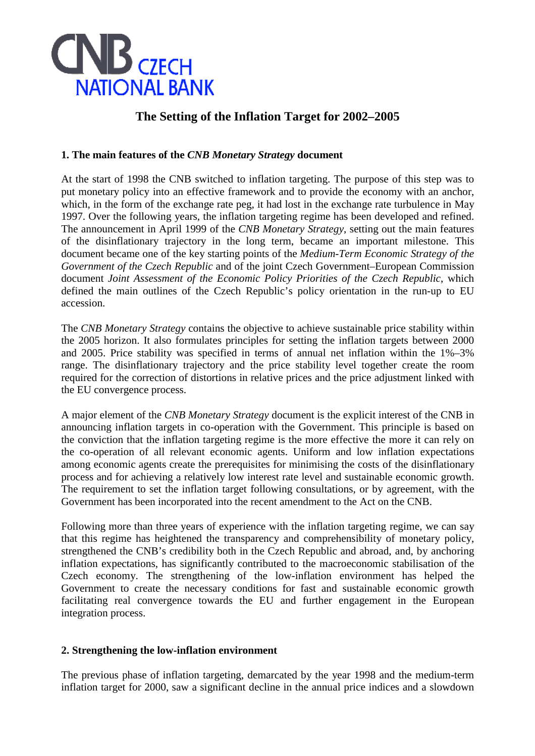

## **The Setting of the Inflation Target for 2002–2005**

## **1. The main features of the** *CNB Monetary Strategy* **document**

At the start of 1998 the CNB switched to inflation targeting. The purpose of this step was to put monetary policy into an effective framework and to provide the economy with an anchor, which, in the form of the exchange rate peg, it had lost in the exchange rate turbulence in May 1997. Over the following years, the inflation targeting regime has been developed and refined. The announcement in April 1999 of the *CNB Monetary Strategy*, setting out the main features of the disinflationary trajectory in the long term, became an important milestone. This document became one of the key starting points of the *Medium-Term Economic Strategy of the Government of the Czech Republic* and of the joint Czech Government–European Commission document *Joint Assessment of the Economic Policy Priorities of the Czech Republic*, which defined the main outlines of the Czech Republic's policy orientation in the run-up to EU accession.

The *CNB Monetary Strategy* contains the objective to achieve sustainable price stability within the 2005 horizon. It also formulates principles for setting the inflation targets between 2000 and 2005. Price stability was specified in terms of annual net inflation within the 1%–3% range. The disinflationary trajectory and the price stability level together create the room required for the correction of distortions in relative prices and the price adjustment linked with the EU convergence process.

A major element of the *CNB Monetary Strategy* document is the explicit interest of the CNB in announcing inflation targets in co-operation with the Government. This principle is based on the conviction that the inflation targeting regime is the more effective the more it can rely on the co-operation of all relevant economic agents. Uniform and low inflation expectations among economic agents create the prerequisites for minimising the costs of the disinflationary process and for achieving a relatively low interest rate level and sustainable economic growth. The requirement to set the inflation target following consultations, or by agreement, with the Government has been incorporated into the recent amendment to the Act on the CNB.

Following more than three years of experience with the inflation targeting regime, we can say that this regime has heightened the transparency and comprehensibility of monetary policy, strengthened the CNB's credibility both in the Czech Republic and abroad, and, by anchoring inflation expectations, has significantly contributed to the macroeconomic stabilisation of the Czech economy. The strengthening of the low-inflation environment has helped the Government to create the necessary conditions for fast and sustainable economic growth facilitating real convergence towards the EU and further engagement in the European integration process.

## **2. Strengthening the low-inflation environment**

The previous phase of inflation targeting, demarcated by the year 1998 and the medium-term inflation target for 2000, saw a significant decline in the annual price indices and a slowdown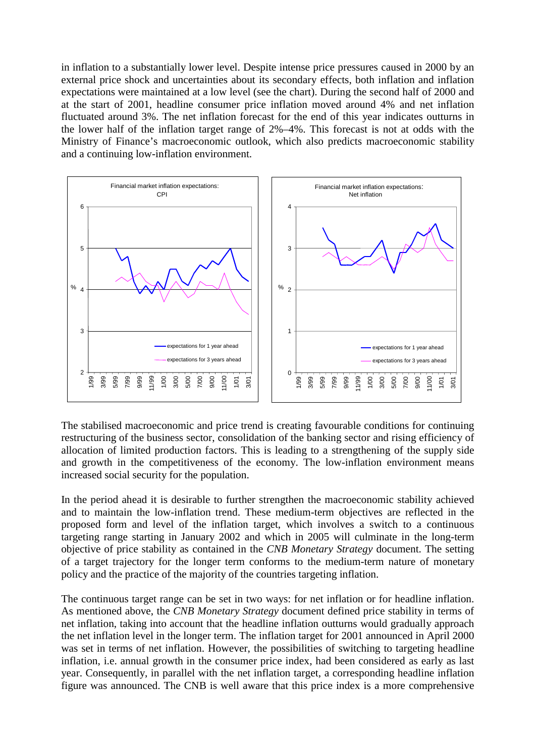in inflation to a substantially lower level. Despite intense price pressures caused in 2000 by an external price shock and uncertainties about its secondary effects, both inflation and inflation expectations were maintained at a low level (see the chart). During the second half of 2000 and at the start of 2001, headline consumer price inflation moved around 4% and net inflation fluctuated around 3%. The net inflation forecast for the end of this year indicates outturns in the lower half of the inflation target range of 2%–4%. This forecast is not at odds with the Ministry of Finance's macroeconomic outlook, which also predicts macroeconomic stability and a continuing low-inflation environment.



The stabilised macroeconomic and price trend is creating favourable conditions for continuing restructuring of the business sector, consolidation of the banking sector and rising efficiency of allocation of limited production factors. This is leading to a strengthening of the supply side and growth in the competitiveness of the economy. The low-inflation environment means increased social security for the population.

In the period ahead it is desirable to further strengthen the macroeconomic stability achieved and to maintain the low-inflation trend. These medium-term objectives are reflected in the proposed form and level of the inflation target, which involves a switch to a continuous targeting range starting in January 2002 and which in 2005 will culminate in the long-term objective of price stability as contained in the *CNB Monetary Strategy* document. The setting of a target trajectory for the longer term conforms to the medium-term nature of monetary policy and the practice of the majority of the countries targeting inflation.

The continuous target range can be set in two ways: for net inflation or for headline inflation. As mentioned above, the *CNB Monetary Strategy* document defined price stability in terms of net inflation, taking into account that the headline inflation outturns would gradually approach the net inflation level in the longer term. The inflation target for 2001 announced in April 2000 was set in terms of net inflation. However, the possibilities of switching to targeting headline inflation, i.e. annual growth in the consumer price index, had been considered as early as last year. Consequently, in parallel with the net inflation target, a corresponding headline inflation figure was announced. The CNB is well aware that this price index is a more comprehensive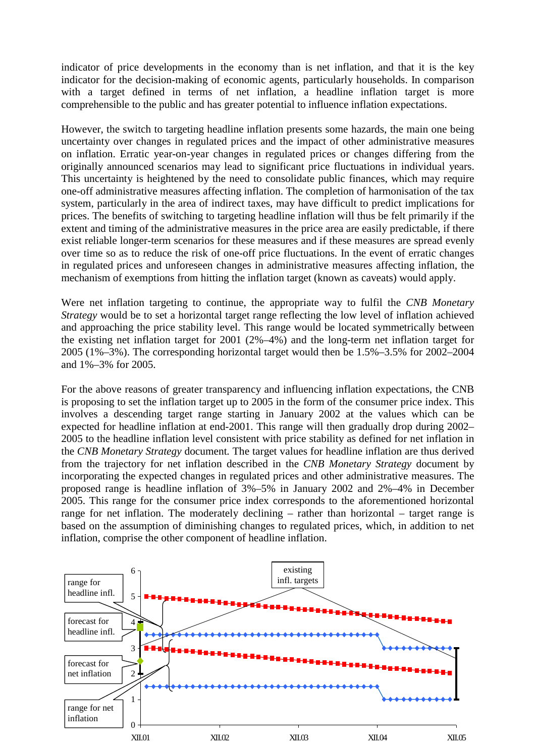indicator of price developments in the economy than is net inflation, and that it is the key indicator for the decision-making of economic agents, particularly households. In comparison with a target defined in terms of net inflation, a headline inflation target is more comprehensible to the public and has greater potential to influence inflation expectations.

However, the switch to targeting headline inflation presents some hazards, the main one being uncertainty over changes in regulated prices and the impact of other administrative measures on inflation. Erratic year-on-year changes in regulated prices or changes differing from the originally announced scenarios may lead to significant price fluctuations in individual years. This uncertainty is heightened by the need to consolidate public finances, which may require one-off administrative measures affecting inflation. The completion of harmonisation of the tax system, particularly in the area of indirect taxes, may have difficult to predict implications for prices. The benefits of switching to targeting headline inflation will thus be felt primarily if the extent and timing of the administrative measures in the price area are easily predictable, if there exist reliable longer-term scenarios for these measures and if these measures are spread evenly over time so as to reduce the risk of one-off price fluctuations. In the event of erratic changes in regulated prices and unforeseen changes in administrative measures affecting inflation, the mechanism of exemptions from hitting the inflation target (known as caveats) would apply.

Were net inflation targeting to continue, the appropriate way to fulfil the *CNB Monetary Strategy* would be to set a horizontal target range reflecting the low level of inflation achieved and approaching the price stability level. This range would be located symmetrically between the existing net inflation target for 2001 (2%–4%) and the long-term net inflation target for 2005 (1%–3%). The corresponding horizontal target would then be 1.5%–3.5% for 2002–2004 and 1%–3% for 2005.

For the above reasons of greater transparency and influencing inflation expectations, the CNB is proposing to set the inflation target up to 2005 in the form of the consumer price index. This involves a descending target range starting in January 2002 at the values which can be expected for headline inflation at end-2001. This range will then gradually drop during 2002– 2005 to the headline inflation level consistent with price stability as defined for net inflation in the *CNB Monetary Strategy* document*.* The target values for headline inflation are thus derived from the trajectory for net inflation described in the *CNB Monetary Strategy* document by incorporating the expected changes in regulated prices and other administrative measures. The proposed range is headline inflation of 3%–5% in January 2002 and 2%–4% in December 2005. This range for the consumer price index corresponds to the aforementioned horizontal range for net inflation. The moderately declining – rather than horizontal – target range is based on the assumption of diminishing changes to regulated prices, which, in addition to net inflation, comprise the other component of headline inflation.